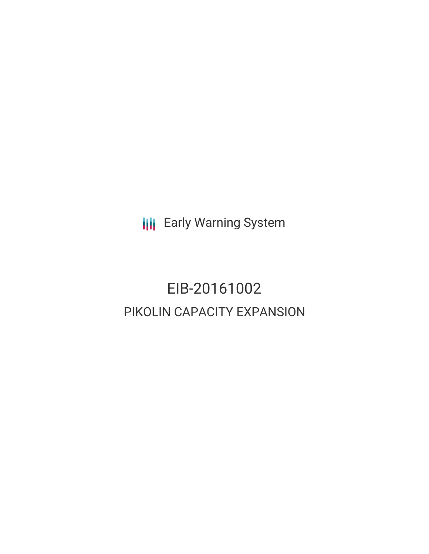**III** Early Warning System

# EIB-20161002 PIKOLIN CAPACITY EXPANSION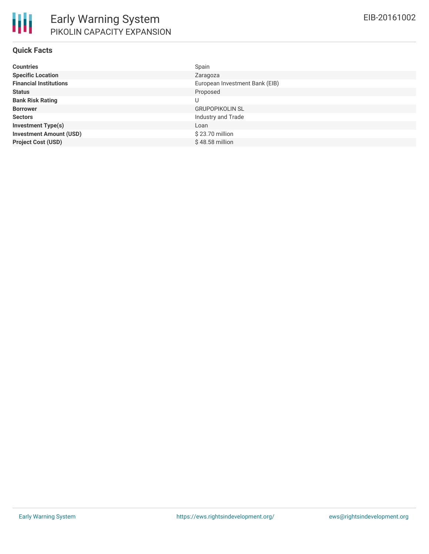| <b>Countries</b>               | Spain                          |
|--------------------------------|--------------------------------|
| <b>Specific Location</b>       | Zaragoza                       |
| <b>Financial Institutions</b>  | European Investment Bank (EIB) |
| <b>Status</b>                  | Proposed                       |
| <b>Bank Risk Rating</b>        | U                              |
| <b>Borrower</b>                | <b>GRUPOPIKOLIN SL</b>         |
| <b>Sectors</b>                 | Industry and Trade             |
| <b>Investment Type(s)</b>      | Loan                           |
| <b>Investment Amount (USD)</b> | \$23.70 million                |
| <b>Project Cost (USD)</b>      | $$48.58$ million               |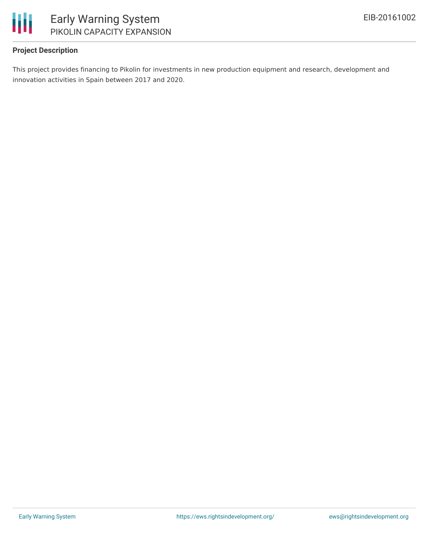

### **Project Description**

This project provides financing to Pikolin for investments in new production equipment and research, development and innovation activities in Spain between 2017 and 2020.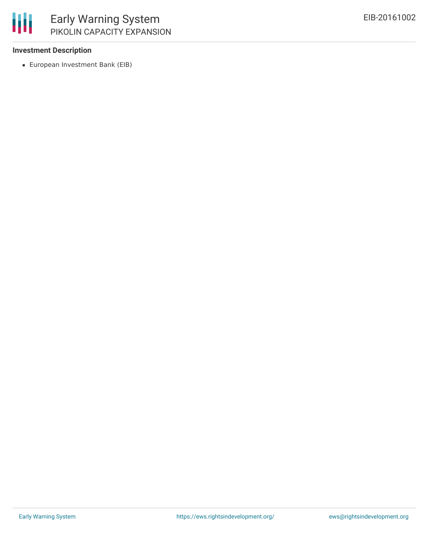

### **Investment Description**

European Investment Bank (EIB)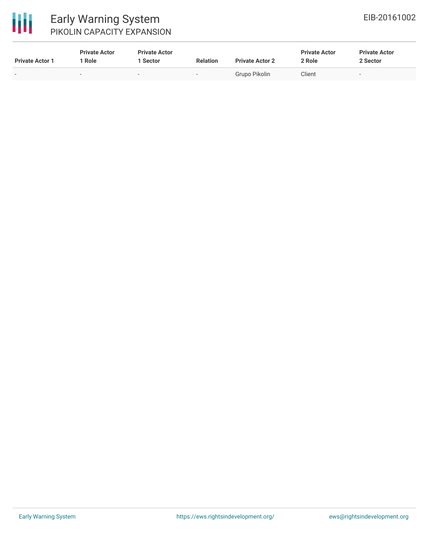

## Early Warning System PIKOLIN CAPACITY EXPANSION

| <b>Private Actor 1</b>   | <b>Private Actor</b><br>Role | <b>Private Actor</b><br>Sector | <b>Relation</b> | <b>Private Actor 2</b> | <b>Private Actor</b><br>2 Role | <b>Private Actor</b><br>2 Sector |
|--------------------------|------------------------------|--------------------------------|-----------------|------------------------|--------------------------------|----------------------------------|
| $\overline{\phantom{a}}$ | $\sim$                       | $\sim$                         | $\sim$          | Grupo Pikolin          | Client                         | $\overline{\phantom{a}}$         |